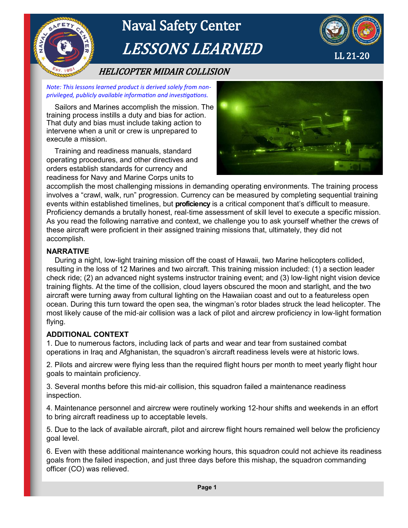

*Note: This lessons learned product is derived solely from nonprivileged, publicly available information and investigations.* 

 Sailors and Marines accomplish the mission. The training process instills a duty and bias for action. That duty and bias must include taking action to intervene when a unit or crew is unprepared to execute a mission.

 Training and readiness manuals, standard operating procedures, and other directives and orders establish standards for currency and readiness for Navy and Marine Corps units to



accomplish the most challenging missions in demanding operating environments. The training process involves a "crawl, walk, run" progression. Currency can be measured by completing sequential training events within established timelines, but **proficiency** is a critical component that's difficult to measure. Proficiency demands a brutally honest, real-time assessment of skill level to execute a specific mission. As you read the following narrative and context, we challenge you to ask yourself whether the crews of these aircraft were proficient in their assigned training missions that, ultimately, they did not accomplish.

## **NARRATIVE**

 During a night, low-light training mission off the coast of Hawaii, two Marine helicopters collided, resulting in the loss of 12 Marines and two aircraft. This training mission included: (1) a section leader check ride; (2) an advanced night systems instructor training event; and (3) low-light night vision device training flights. At the time of the collision, cloud layers obscured the moon and starlight, and the two aircraft were turning away from cultural lighting on the Hawaiian coast and out to a featureless open ocean. During this turn toward the open sea, the wingman's rotor blades struck the lead helicopter. The most likely cause of the mid-air collision was a lack of pilot and aircrew proficiency in low-light formation flying.

## **ADDITIONAL CONTEXT**

1. Due to numerous factors, including lack of parts and wear and tear from sustained combat operations in Iraq and Afghanistan, the squadron's aircraft readiness levels were at historic lows.

2. Pilots and aircrew were flying less than the required flight hours per month to meet yearly flight hour goals to maintain proficiency.

3. Several months before this mid-air collision, this squadron failed a maintenance readiness inspection.

4. Maintenance personnel and aircrew were routinely working 12-hour shifts and weekends in an effort to bring aircraft readiness up to acceptable levels.

5. Due to the lack of available aircraft, pilot and aircrew flight hours remained well below the proficiency goal level.

6. Even with these additional maintenance working hours, this squadron could not achieve its readiness goals from the failed inspection, and just three days before this mishap, the squadron commanding officer (CO) was relieved.